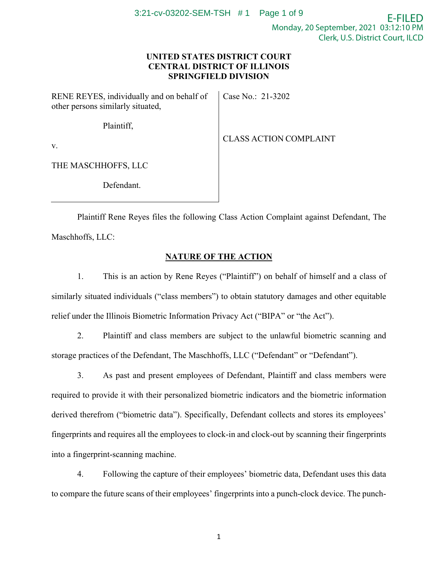## **UNITED STATES DISTRICT COURT CENTRAL DISTRICT OF ILLINOIS SPRINGFIELD DIVISION**

| RENE REYES, individually and on behalf of<br>other persons similarly situated, | Case No.: 21-3202             |
|--------------------------------------------------------------------------------|-------------------------------|
| Plaintiff,                                                                     |                               |
| $V_{\cdot}$                                                                    | <b>CLASS ACTION COMPLAINT</b> |
| THE MASCHHOFFS, LLC                                                            |                               |
| Defendant.                                                                     |                               |

Plaintiff Rene Reyes files the following Class Action Complaint against Defendant, The Maschhoffs, LLC:

# **NATURE OF THE ACTION**

1. This is an action by Rene Reyes ("Plaintiff") on behalf of himself and a class of similarly situated individuals ("class members") to obtain statutory damages and other equitable relief under the Illinois Biometric Information Privacy Act ("BIPA" or "the Act").

2. Plaintiff and class members are subject to the unlawful biometric scanning and storage practices of the Defendant, The Maschhoffs, LLC ("Defendant" or "Defendant").

3. As past and present employees of Defendant, Plaintiff and class members were required to provide it with their personalized biometric indicators and the biometric information derived therefrom ("biometric data"). Specifically, Defendant collects and stores its employees' fingerprints and requires all the employees to clock-in and clock-out by scanning their fingerprints into a fingerprint-scanning machine.

4. Following the capture of their employees' biometric data, Defendant uses this data to compare the future scans of their employees' fingerprints into a punch-clock device. The punch-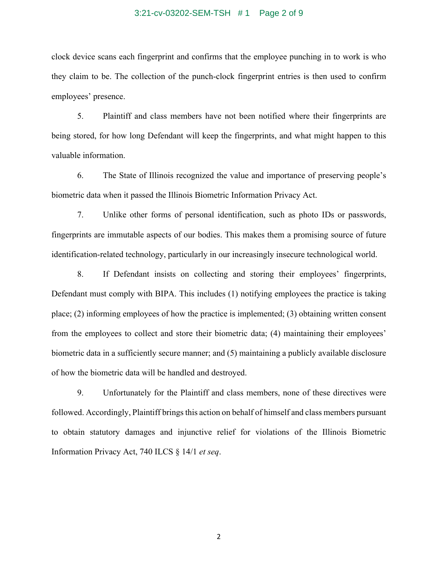#### 3:21-cv-03202-SEM-TSH # 1 Page 2 of 9

clock device scans each fingerprint and confirms that the employee punching in to work is who they claim to be. The collection of the punch-clock fingerprint entries is then used to confirm employees' presence.

5. Plaintiff and class members have not been notified where their fingerprints are being stored, for how long Defendant will keep the fingerprints, and what might happen to this valuable information.

6. The State of Illinois recognized the value and importance of preserving people's biometric data when it passed the Illinois Biometric Information Privacy Act.

7. Unlike other forms of personal identification, such as photo IDs or passwords, fingerprints are immutable aspects of our bodies. This makes them a promising source of future identification-related technology, particularly in our increasingly insecure technological world.

8. If Defendant insists on collecting and storing their employees' fingerprints, Defendant must comply with BIPA. This includes (1) notifying employees the practice is taking place; (2) informing employees of how the practice is implemented; (3) obtaining written consent from the employees to collect and store their biometric data; (4) maintaining their employees' biometric data in a sufficiently secure manner; and (5) maintaining a publicly available disclosure of how the biometric data will be handled and destroyed.

9. Unfortunately for the Plaintiff and class members, none of these directives were followed. Accordingly, Plaintiff brings this action on behalf of himself and class members pursuant to obtain statutory damages and injunctive relief for violations of the Illinois Biometric Information Privacy Act, 740 ILCS § 14/1 *et seq*.

2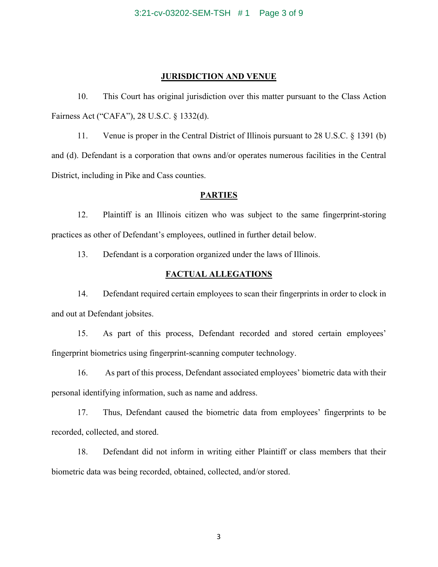#### **JURISDICTION AND VENUE**

10. This Court has original jurisdiction over this matter pursuant to the Class Action Fairness Act ("CAFA"), 28 U.S.C. § 1332(d).

11. Venue is proper in the Central District of Illinois pursuant to 28 U.S.C. § 1391 (b) and (d). Defendant is a corporation that owns and/or operates numerous facilities in the Central District, including in Pike and Cass counties.

#### **PARTIES**

12. Plaintiff is an Illinois citizen who was subject to the same fingerprint-storing practices as other of Defendant's employees, outlined in further detail below.

13. Defendant is a corporation organized under the laws of Illinois.

#### **FACTUAL ALLEGATIONS**

14. Defendant required certain employees to scan their fingerprints in order to clock in and out at Defendant jobsites.

15. As part of this process, Defendant recorded and stored certain employees' fingerprint biometrics using fingerprint-scanning computer technology.

16. As part of this process, Defendant associated employees' biometric data with their personal identifying information, such as name and address.

17. Thus, Defendant caused the biometric data from employees' fingerprints to be recorded, collected, and stored.

18. Defendant did not inform in writing either Plaintiff or class members that their biometric data was being recorded, obtained, collected, and/or stored.

3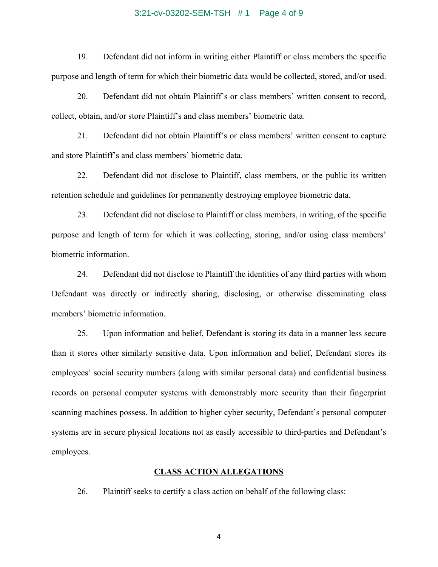#### 3:21-cv-03202-SEM-TSH # 1 Page 4 of 9

19. Defendant did not inform in writing either Plaintiff or class members the specific purpose and length of term for which their biometric data would be collected, stored, and/or used.

20. Defendant did not obtain Plaintiff's or class members' written consent to record, collect, obtain, and/or store Plaintiff's and class members' biometric data.

21. Defendant did not obtain Plaintiff's or class members' written consent to capture and store Plaintiff's and class members' biometric data.

22. Defendant did not disclose to Plaintiff, class members, or the public its written retention schedule and guidelines for permanently destroying employee biometric data.

23. Defendant did not disclose to Plaintiff or class members, in writing, of the specific purpose and length of term for which it was collecting, storing, and/or using class members' biometric information.

24. Defendant did not disclose to Plaintiff the identities of any third parties with whom Defendant was directly or indirectly sharing, disclosing, or otherwise disseminating class members' biometric information.

25. Upon information and belief, Defendant is storing its data in a manner less secure than it stores other similarly sensitive data. Upon information and belief, Defendant stores its employees' social security numbers (along with similar personal data) and confidential business records on personal computer systems with demonstrably more security than their fingerprint scanning machines possess. In addition to higher cyber security, Defendant's personal computer systems are in secure physical locations not as easily accessible to third-parties and Defendant's employees.

### **CLASS ACTION ALLEGATIONS**

26. Plaintiff seeks to certify a class action on behalf of the following class:

4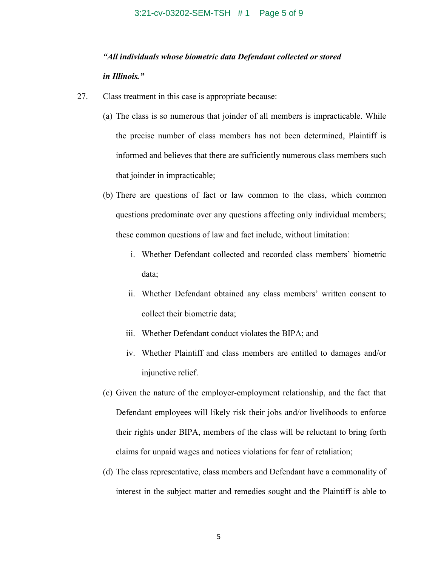#### 3:21-cv-03202-SEM-TSH # 1 Page 5 of 9

# *"All individuals whose biometric data Defendant collected or stored in Illinois."*

- 27. Class treatment in this case is appropriate because:
	- (a) The class is so numerous that joinder of all members is impracticable. While the precise number of class members has not been determined, Plaintiff is informed and believes that there are sufficiently numerous class members such that joinder in impracticable;
	- (b) There are questions of fact or law common to the class, which common questions predominate over any questions affecting only individual members; these common questions of law and fact include, without limitation:
		- i. Whether Defendant collected and recorded class members' biometric data;
		- ii. Whether Defendant obtained any class members' written consent to collect their biometric data;
		- iii. Whether Defendant conduct violates the BIPA; and
		- iv. Whether Plaintiff and class members are entitled to damages and/or injunctive relief.
	- (c) Given the nature of the employer-employment relationship, and the fact that Defendant employees will likely risk their jobs and/or livelihoods to enforce their rights under BIPA, members of the class will be reluctant to bring forth claims for unpaid wages and notices violations for fear of retaliation;
	- (d) The class representative, class members and Defendant have a commonality of interest in the subject matter and remedies sought and the Plaintiff is able to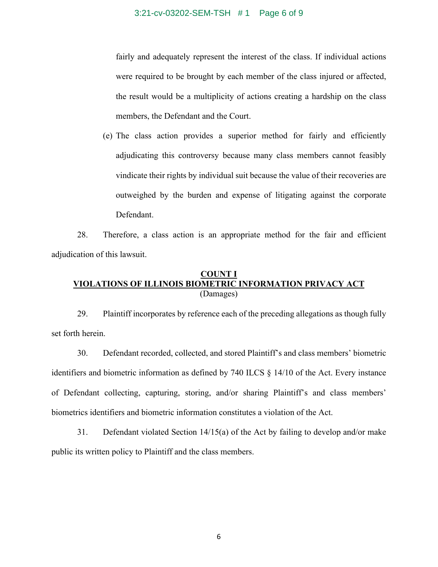3:21-cv-03202-SEM-TSH # 1 Page 6 of 9

fairly and adequately represent the interest of the class. If individual actions were required to be brought by each member of the class injured or affected, the result would be a multiplicity of actions creating a hardship on the class members, the Defendant and the Court.

(e) The class action provides a superior method for fairly and efficiently adjudicating this controversy because many class members cannot feasibly vindicate their rights by individual suit because the value of their recoveries are outweighed by the burden and expense of litigating against the corporate Defendant.

28. Therefore, a class action is an appropriate method for the fair and efficient adjudication of this lawsuit.

## **COUNT I VIOLATIONS OF ILLINOIS BIOMETRIC INFORMATION PRIVACY ACT** (Damages)

29. Plaintiff incorporates by reference each of the preceding allegations as though fully set forth herein.

30. Defendant recorded, collected, and stored Plaintiff's and class members' biometric identifiers and biometric information as defined by 740 ILCS § 14/10 of the Act. Every instance of Defendant collecting, capturing, storing, and/or sharing Plaintiff's and class members' biometrics identifiers and biometric information constitutes a violation of the Act.

31. Defendant violated Section 14/15(a) of the Act by failing to develop and/or make public its written policy to Plaintiff and the class members.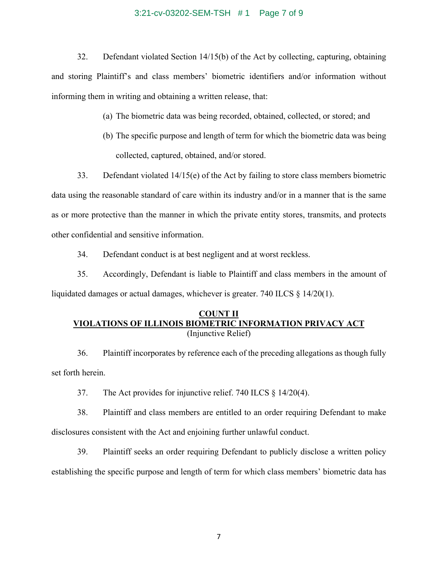#### 3:21-cv-03202-SEM-TSH # 1 Page 7 of 9

32. Defendant violated Section 14/15(b) of the Act by collecting, capturing, obtaining and storing Plaintiff's and class members' biometric identifiers and/or information without informing them in writing and obtaining a written release, that:

- (a) The biometric data was being recorded, obtained, collected, or stored; and
- (b) The specific purpose and length of term for which the biometric data was being collected, captured, obtained, and/or stored.

33. Defendant violated 14/15(e) of the Act by failing to store class members biometric data using the reasonable standard of care within its industry and/or in a manner that is the same as or more protective than the manner in which the private entity stores, transmits, and protects other confidential and sensitive information.

34. Defendant conduct is at best negligent and at worst reckless.

35. Accordingly, Defendant is liable to Plaintiff and class members in the amount of liquidated damages or actual damages, whichever is greater. 740 ILCS § 14/20(1).

## **COUNT II VIOLATIONS OF ILLINOIS BIOMETRIC INFORMATION PRIVACY ACT** (Injunctive Relief)

36. Plaintiff incorporates by reference each of the preceding allegations as though fully set forth herein.

37. The Act provides for injunctive relief. 740 ILCS § 14/20(4).

38. Plaintiff and class members are entitled to an order requiring Defendant to make disclosures consistent with the Act and enjoining further unlawful conduct.

39. Plaintiff seeks an order requiring Defendant to publicly disclose a written policy establishing the specific purpose and length of term for which class members' biometric data has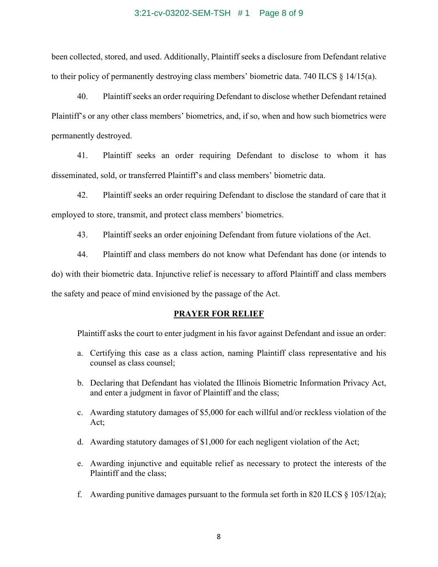#### 3:21-cv-03202-SEM-TSH # 1 Page 8 of 9

been collected, stored, and used. Additionally, Plaintiff seeks a disclosure from Defendant relative to their policy of permanently destroying class members' biometric data. 740 ILCS § 14/15(a).

40. Plaintiff seeks an order requiring Defendant to disclose whether Defendant retained Plaintiff's or any other class members' biometrics, and, if so, when and how such biometrics were permanently destroyed.

41. Plaintiff seeks an order requiring Defendant to disclose to whom it has disseminated, sold, or transferred Plaintiff's and class members' biometric data.

42. Plaintiff seeks an order requiring Defendant to disclose the standard of care that it employed to store, transmit, and protect class members' biometrics.

43. Plaintiff seeks an order enjoining Defendant from future violations of the Act.

44. Plaintiff and class members do not know what Defendant has done (or intends to do) with their biometric data. Injunctive relief is necessary to afford Plaintiff and class members the safety and peace of mind envisioned by the passage of the Act.

#### **PRAYER FOR RELIEF**

Plaintiff asks the court to enter judgment in his favor against Defendant and issue an order:

- a. Certifying this case as a class action, naming Plaintiff class representative and his counsel as class counsel;
- b. Declaring that Defendant has violated the Illinois Biometric Information Privacy Act, and enter a judgment in favor of Plaintiff and the class;
- c. Awarding statutory damages of \$5,000 for each willful and/or reckless violation of the Act;
- d. Awarding statutory damages of \$1,000 for each negligent violation of the Act;
- e. Awarding injunctive and equitable relief as necessary to protect the interests of the Plaintiff and the class;
- f. Awarding punitive damages pursuant to the formula set forth in 820 ILCS  $\S$  105/12(a);